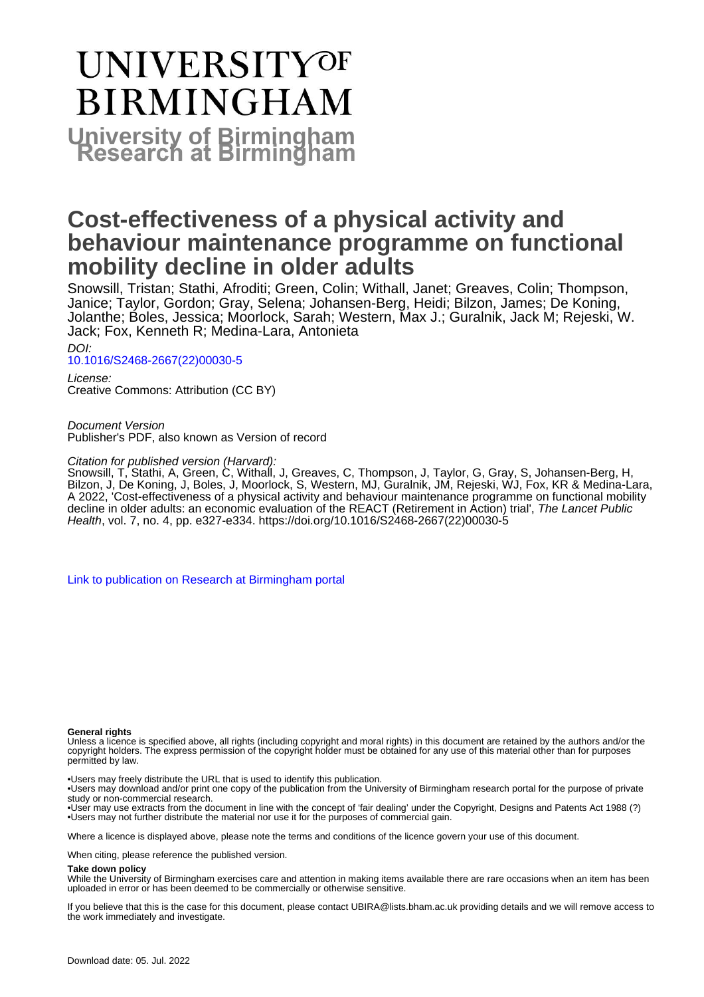# **UNIVERSITYOF BIRMINGHAM University of Birmingham**

# **Cost-effectiveness of a physical activity and behaviour maintenance programme on functional mobility decline in older adults**

Snowsill, Tristan; Stathi, Afroditi; Green, Colin; Withall, Janet; Greaves, Colin; Thompson, Janice; Taylor, Gordon; Gray, Selena; Johansen-Berg, Heidi; Bilzon, James; De Koning, Jolanthe; Boles, Jessica; Moorlock, Sarah; Western, Max J.; Guralnik, Jack M; Rejeski, W. Jack; Fox, Kenneth R; Medina-Lara, Antonieta

DOI:

[10.1016/S2468-2667\(22\)00030-5](https://doi.org/10.1016/S2468-2667(22)00030-5)

License: Creative Commons: Attribution (CC BY)

Document Version Publisher's PDF, also known as Version of record

Citation for published version (Harvard):

Snowsill, T, Stathi, A, Green, C, Withall, J, Greaves, C, Thompson, J, Taylor, G, Gray, S, Johansen-Berg, H, Bilzon, J, De Koning, J, Boles, J, Moorlock, S, Western, MJ, Guralnik, JM, Rejeski, WJ, Fox, KR & Medina-Lara, A 2022, 'Cost-effectiveness of a physical activity and behaviour maintenance programme on functional mobility decline in older adults: an economic evaluation of the REACT (Retirement in Action) trial', The Lancet Public Health, vol. 7, no. 4, pp. e327-e334. [https://doi.org/10.1016/S2468-2667\(22\)00030-5](https://doi.org/10.1016/S2468-2667(22)00030-5)

[Link to publication on Research at Birmingham portal](https://birmingham.elsevierpure.com/en/publications/c0a1e16d-23e8-45b9-bd80-b1518d7844a7)

#### **General rights**

Unless a licence is specified above, all rights (including copyright and moral rights) in this document are retained by the authors and/or the copyright holders. The express permission of the copyright holder must be obtained for any use of this material other than for purposes permitted by law.

• Users may freely distribute the URL that is used to identify this publication.

• Users may download and/or print one copy of the publication from the University of Birmingham research portal for the purpose of private study or non-commercial research.

• User may use extracts from the document in line with the concept of 'fair dealing' under the Copyright, Designs and Patents Act 1988 (?) • Users may not further distribute the material nor use it for the purposes of commercial gain.

Where a licence is displayed above, please note the terms and conditions of the licence govern your use of this document.

When citing, please reference the published version.

#### **Take down policy**

While the University of Birmingham exercises care and attention in making items available there are rare occasions when an item has been uploaded in error or has been deemed to be commercially or otherwise sensitive.

If you believe that this is the case for this document, please contact UBIRA@lists.bham.ac.uk providing details and we will remove access to the work immediately and investigate.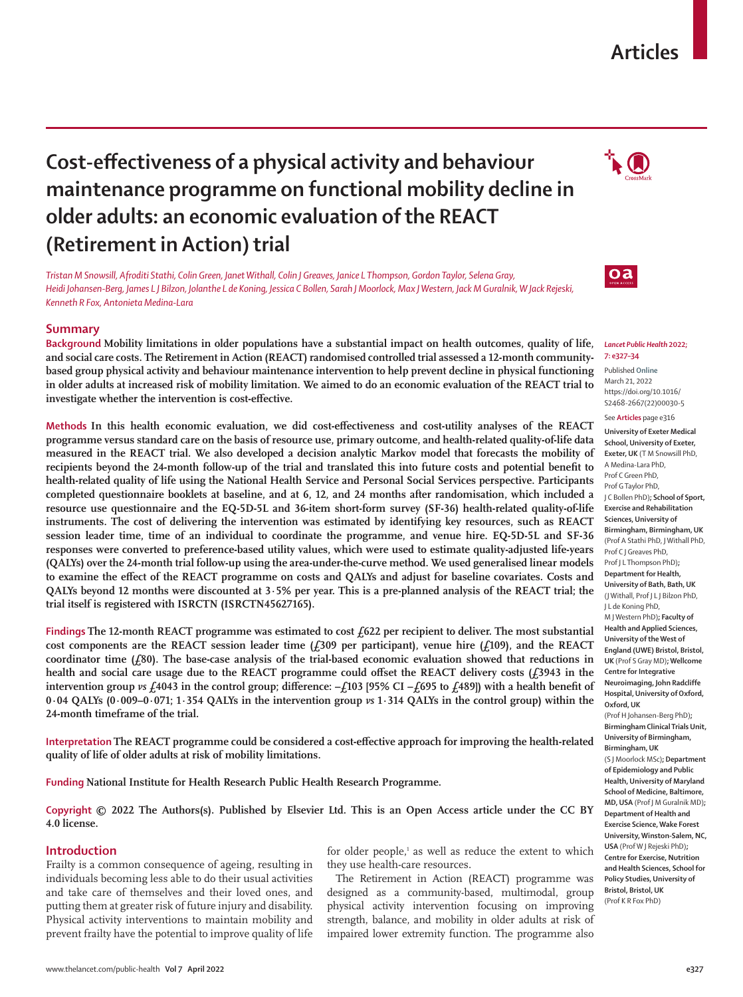# **Articles**

# **Cost-effectiveness of a physical activity and behaviour maintenance programme on functional mobility decline in older adults: an economic evaluation of the REACT (Retirement in Action) trial**

*Tristan M Snowsill, Afroditi Stathi, Colin Green, Janet Withall, Colin J Greaves, Janice L Thompson, Gordon Taylor, Selena Gray, Heidi Johansen-Berg, James L J Bilzon, Jolanthe L de Koning, Jessica C Bollen, Sarah J Moorlock, Max J Western, Jack M Guralnik, W Jack Rejeski, Kenneth R Fox, Antonieta Medina-Lara*

# **Summary**

**Background Mobility limitations in older populations have a substantial impact on health outcomes, quality of life, and social care costs. The Retirement in Action (REACT) randomised controlled trial assessed a 12-month communitybased group physical activity and behaviour maintenance intervention to help prevent decline in physical functioning in older adults at increased risk of mobility limitation. We aimed to do an economic evaluation of the REACT trial to investigate whether the intervention is cost-effective.**

**Methods In this health economic evaluation, we did cost-effectiveness and cost-utility analyses of the REACT programme versus standard care on the basis of resource use, primary outcome, and health-related quality-of-life data measured in the REACT trial. We also developed a decision analytic Markov model that forecasts the mobility of recipients beyond the 24-month follow-up of the trial and translated this into future costs and potential benefit to health-related quality of life using the National Health Service and Personal Social Services perspective. Participants completed questionnaire booklets at baseline, and at 6, 12, and 24 months after randomisation, which included a resource use questionnaire and the EQ-5D-5L and 36-item short-form survey (SF-36) health-related quality-of-life instruments. The cost of delivering the intervention was estimated by identifying key resources, such as REACT session leader time, time of an individual to coordinate the programme, and venue hire. EQ-5D-5L and SF-36 responses were converted to preference-based utility values, which were used to estimate quality-adjusted life-years (QALYs) over the 24-month trial follow-up using the area-under-the-curve method. We used generalised linear models to examine the effect of the REACT programme on costs and QALYs and adjust for baseline covariates. Costs and QALYs beyond 12 months were discounted at 3·5% per year. This is a pre-planned analysis of the REACT trial; the trial itself is registered with ISRCTN (ISRCTN45627165).**

Findings The 12-month REACT programme was estimated to cost £622 per recipient to deliver. The most substantial **cost components are the REACT session leader time (£309 per participant), venue hire (£109), and the REACT coordinator time (£80). The base-case analysis of the trial-based economic evaluation showed that reductions in**  health and social care usage due to the REACT programme could offset the REACT delivery costs ( $f$ 3943 in the **intervention group** *vs* **£4043 in the control group; difference: –£103 [95% CI −£695 to £489]) with a health benefit of 0·04 QALYs (0·009–0·071; 1·354 QALYs in the intervention group** *vs* **1·314 QALYs in the control group) within the 24-month timeframe of the trial.**

**Interpretation The REACT programme could be considered a cost-effective approach for improving the health-related quality of life of older adults at risk of mobility limitations.**

**Funding National Institute for Health Research Public Health Research Programme.**

**Copyright © 2022 The Authors(s). Published by Elsevier Ltd. This is an Open Access article under the CC BY 4.0 license.**

# **Introduction**

Frailty is a common consequence of ageing, resulting in individuals becoming less able to do their usual activities and take care of themselves and their loved ones, and putting them at greater risk of future injury and disability. Physical activity interventions to maintain mobility and prevent frailty have the potential to improve quality of life

for older people,<sup>1</sup> as well as reduce the extent to which they use health-care resources.

The Retirement in Action (REACT) programme was designed as a community-based, multimodal, group physical activity intervention focusing on improving strength, balance, and mobility in older adults at risk of impaired lower extremity function. The programme also





#### *Lancet Public Health* **2022; 7: e327–34**

Published **Online** March 21, 2022 https://doi.org/10.1016/ S2468-2667(22)00030-5 See **Articles** page e316

**University of Exeter Medical School, University of Exeter, Exeter, UK** (T M Snowsill PhD, A Medina-Lara PhD, Prof C Green PhD, Prof G Taylor PhD, J C Bollen PhD)**; School of Sport, Exercise and Rehabilitation Sciences, University of Birmingham, Birmingham, UK** (Prof A Stathi PhD, J Withall PhD, Prof C J Greaves PhD, Prof I L Thompson PhD): **Department for Health, University of Bath, Bath, UK**  (J Withall, Prof J L J Bilzon PhD, J L de Koning PhD, M J Western PhD)**; Faculty of Health and Applied Sciences, University of the West of England (UWE) Bristol, Bristol, UK** (Prof S Gray MD)**; Wellcome Centre for Integrative Neuroimaging, John Radcliffe Hospital, University of Oxford, Oxford, UK**  (Prof H Johansen-Berg PhD)**; Birmingham Clinical Trials Unit, University of Birmingham, Birmingham, UK**  (S J Moorlock MSc)**; Department of Epidemiology and Public Health, University of Maryland School of Medicine, Baltimore, MD, USA** (Prof J M Guralnik MD)**; Department of Health and Exercise Science, Wake Forest University, Winston-Salem, NC, USA** (Prof W J Rejeski PhD)**; Centre for Exercise, Nutrition and Health Sciences, School for Policy Studies, University of Bristol, Bristol, UK** 

(Prof K R Fox PhD)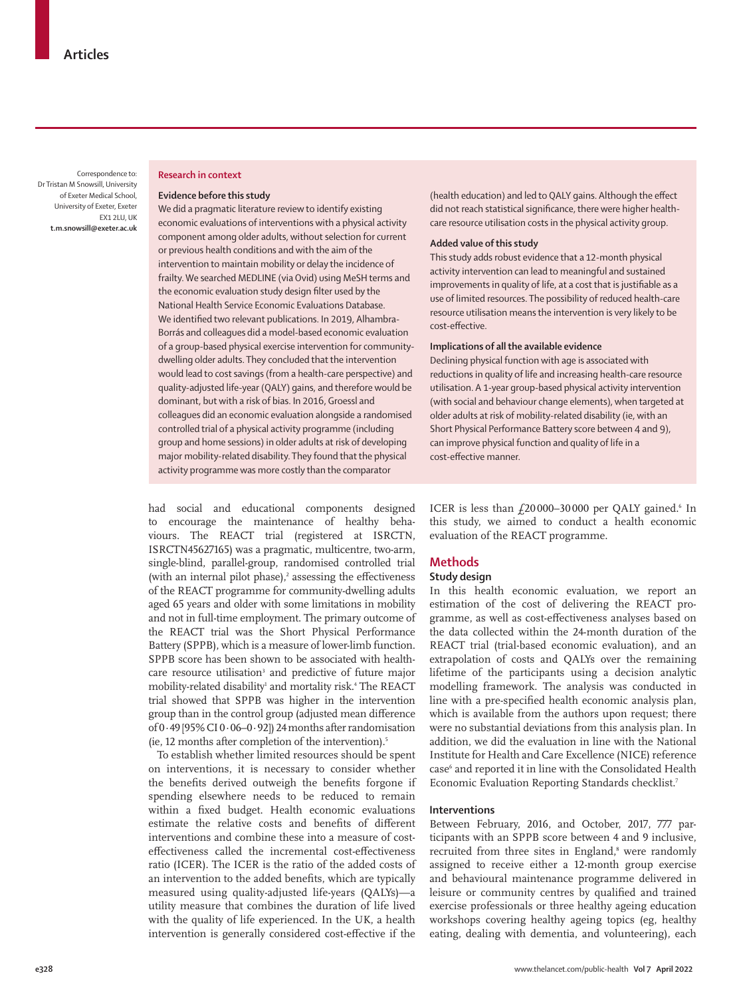Correspondence to: Dr Tristan M Snowsill, University of Exeter Medical School, University of Exeter, Exeter EX1 2LU, UK **t.m.snowsill@exeter.ac.uk**

## **Research in context**

### **Evidence before this study**

We did a pragmatic literature review to identify existing economic evaluations of interventions with a physical activity component among older adults, without selection for current or previous health conditions and with the aim of the intervention to maintain mobility or delay the incidence of frailty. We searched MEDLINE (via Ovid) using MeSH terms and the economic evaluation study design filter used by the National Health Service Economic Evaluations Database. We identified two relevant publications. In 2019, Alhambra-Borrás and colleagues did a model-based economic evaluation of a group-based physical exercise intervention for communitydwelling older adults. They concluded that the intervention would lead to cost savings (from a health-care perspective) and quality-adjusted life-year (QALY) gains, and therefore would be dominant, but with a risk of bias. In 2016, Groessl and colleagues did an economic evaluation alongside a randomised controlled trial of a physical activity programme (including group and home sessions) in older adults at risk of developing major mobility-related disability. They found that the physical activity programme was more costly than the comparator

(health education) and led to QALY gains. Although the effect did not reach statistical significance, there were higher healthcare resource utilisation costs in the physical activity group.

# **Added value of this study**

This study adds robust evidence that a 12-month physical activity intervention can lead to meaningful and sustained improvements in quality of life, at a cost that is justifiable as a use of limited resources. The possibility of reduced health-care resource utilisation means the intervention is very likely to be cost-effective.

## **Implications of all the available evidence**

Declining physical function with age is associated with reductions in quality of life and increasing health-care resource utilisation. A 1-year group-based physical activity intervention (with social and behaviour change elements), when targeted at older adults at risk of mobility-related disability (ie, with an Short Physical Performance Battery score between 4 and 9), can improve physical function and quality of life in a cost-effective manner.

had social and educational components designed to encourage the maintenance of healthy behaviours. The REACT trial (registered at ISRCTN, ISRCTN45627165) was a pragmatic, multicentre, two-arm, single-blind, parallel-group, randomised controlled trial (with an internal pilot phase), $\lambda^2$  assessing the effectiveness of the REACT programme for community-dwelling adults aged 65 years and older with some limitations in mobility and not in full-time employment. The primary outcome of the REACT trial was the Short Physical Performance Battery (SPPB), which is a measure of lower-limb function. SPPB score has been shown to be associated with healthcare resource utilisation<sup>3</sup> and predictive of future major mobility-related disability<sup>1</sup> and mortality risk.<sup>4</sup> The REACT trial showed that SPPB was higher in the intervention group than in the control group (adjusted mean difference of 0·49 [95% CI 0·06–0·92]) 24 months after randomisation (ie, 12 months after completion of the intervention). $5$ 

To establish whether limited resources should be spent on interventions, it is necessary to consider whether the benefits derived outweigh the benefits forgone if spending elsewhere needs to be reduced to remain within a fixed budget. Health economic evaluations estimate the relative costs and benefits of different interventions and combine these into a measure of costeffectiveness called the incremental cost-effectiveness ratio (ICER). The ICER is the ratio of the added costs of an intervention to the added benefits, which are typically measured using quality-adjusted life-years (QALYs)—a utility measure that combines the duration of life lived with the quality of life experienced. In the UK, a health intervention is generally considered cost-effective if the

ICER is less than  $£20000-30000$  per QALY gained.<sup>6</sup> In this study, we aimed to conduct a health economic evaluation of the REACT programme.

# **Methods**

## **Study design**

In this health economic evaluation, we report an estimation of the cost of delivering the REACT programme, as well as cost-effectiveness analyses based on the data collected within the 24-month duration of the REACT trial (trial-based economic evaluation), and an extrapolation of costs and QALYs over the remaining lifetime of the participants using a decision analytic modelling framework. The analysis was conducted in line with a pre-specified health economic analysis plan, which is available from the authors upon request; there were no substantial deviations from this analysis plan. In addition, we did the evaluation in line with the National Institute for Health and Care Excellence (NICE) reference case<sup>6</sup> and reported it in line with the Consolidated Health Economic Evaluation Reporting Standards checklist.7

# **Interventions**

Between February, 2016, and October, 2017, 777 participants with an SPPB score between 4 and 9 inclusive, recruited from three sites in England,<sup>8</sup> were randomly assigned to receive either a 12-month group exercise and behavioural maintenance programme delivered in leisure or community centres by qualified and trained exercise professionals or three healthy ageing education workshops covering healthy ageing topics (eg, healthy eating, dealing with dementia, and volunteering), each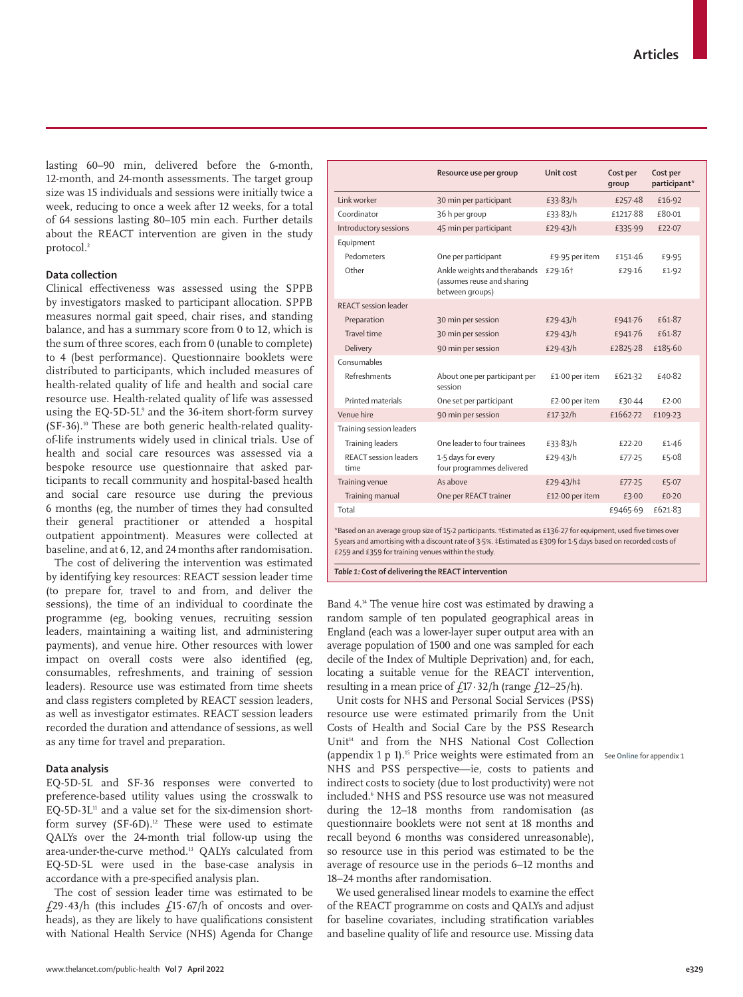lasting 60–90 min, delivered before the 6-month, 12-month, and 24-month assessments. The target group size was 15 individuals and sessions were initially twice a week, reducing to once a week after 12 weeks, for a total of 64 sessions lasting 80–105 min each. Further details about the REACT intervention are given in the study protocol.<sup>2</sup>

# **Data collection**

Clinical effectiveness was assessed using the SPPB by investigators masked to participant allocation. SPPB measures normal gait speed, chair rises, and standing balance, and has a summary score from 0 to 12, which is the sum of three scores, each from 0 (unable to complete) to 4 (best performance). Questionnaire booklets were distributed to participants, which included measures of health-related quality of life and health and social care resource use. Health-related quality of life was assessed using the EQ-5D-5L9 and the 36-item short-form survey (SF-36).10 These are both generic health-related qualityof-life instruments widely used in clinical trials. Use of health and social care resources was assessed via a bespoke resource use questionnaire that asked participants to recall community and hospital-based health and social care resource use during the previous 6 months (eg, the number of times they had consulted their general practitioner or attended a hospital outpatient appointment). Measures were collected at baseline, and at 6, 12, and 24 months after randomisation.

The cost of delivering the intervention was estimated by identifying key resources: REACT session leader time (to prepare for, travel to and from, and deliver the sessions), the time of an individual to coordinate the programme (eg, booking venues, recruiting session leaders, maintaining a waiting list, and administering payments), and venue hire. Other resources with lower impact on overall costs were also identified (eg, consumables, refreshments, and training of session leaders). Resource use was estimated from time sheets and class registers completed by REACT session leaders, as well as investigator estimates. REACT session leaders recorded the duration and attendance of sessions, as well as any time for travel and preparation.

# **Data analysis**

EQ-5D-5L and SF-36 responses were converted to preference-based utility values using the crosswalk to  $EQ-5D-3L<sup>11</sup>$  and a value set for the six-dimension shortform survey  $(SF-6D).$ <sup>12</sup> These were used to estimate QALYs over the 24-month trial follow-up using the area-under-the-curve method.13 QALYs calculated from EQ-5D-5L were used in the base-case analysis in accordance with a pre-specified analysis plan.

The cost of session leader time was estimated to be £29.43/h (this includes £15.67/h of oncosts and overheads), as they are likely to have qualifications consistent with National Health Service (NHS) Agenda for Change

| Link worker<br>30 min per participant<br>£33.83/h<br>£16.92<br>£257.48<br>Coordinator<br>36 h per group<br>£80.01<br>£33.83/h<br>£1217-88<br>Introductory sessions<br>45 min per participant<br>£29.43/h<br>£335.99<br>£22.07<br>Equipment<br>Pedometers<br>One per participant<br>£9.95 per item<br>£151.46<br>£9.95<br>Other<br>Ankle weights and therabands<br>£29.16 <sup>+</sup><br>£29.16<br>£1.92<br>(assumes reuse and sharing<br>between groups)<br>REACT session leader<br>30 min per session<br>£61.87<br>Preparation<br>£29.43/h<br>£941.76<br>Travel time<br>£61.87<br>30 min per session<br>£941.76<br>£29.43/h<br>£185.60<br>Delivery<br>£2825.28<br>90 min per session<br>£29.43/h<br>Consumables<br>Refreshments<br>£1.00 per item<br>£621.32<br>£40.82<br>About one per participant per<br>session<br>Printed materials<br>£2.00 per item<br>One set per participant<br>£30.44<br>£2.00<br>Venue hire<br>£1662.72<br>90 min per session<br>£17.32/h<br>£109.23<br>Training session leaders<br>One leader to four trainees<br>£33.83/h<br>Training leaders<br>£22.20<br>£1.46<br>REACT session leaders<br>1.5 days for every<br>£5.08<br>£29.43/h<br>£77.25<br>four programmes delivered<br>time<br>As above<br>Training venue<br>£29.43/h‡<br>£5.07<br>£77.25<br>Training manual<br>One per REACT trainer<br>£12.00 per item<br>£3.00<br>f(0.20)<br>£9465.69<br>£621.83<br>Total | Resource use per group | Unit cost | Cost per<br>qroup | Cost per<br>participant* |
|----------------------------------------------------------------------------------------------------------------------------------------------------------------------------------------------------------------------------------------------------------------------------------------------------------------------------------------------------------------------------------------------------------------------------------------------------------------------------------------------------------------------------------------------------------------------------------------------------------------------------------------------------------------------------------------------------------------------------------------------------------------------------------------------------------------------------------------------------------------------------------------------------------------------------------------------------------------------------------------------------------------------------------------------------------------------------------------------------------------------------------------------------------------------------------------------------------------------------------------------------------------------------------------------------------------------------------------------------------------------------------------------------|------------------------|-----------|-------------------|--------------------------|
|                                                                                                                                                                                                                                                                                                                                                                                                                                                                                                                                                                                                                                                                                                                                                                                                                                                                                                                                                                                                                                                                                                                                                                                                                                                                                                                                                                                                    |                        |           |                   |                          |
|                                                                                                                                                                                                                                                                                                                                                                                                                                                                                                                                                                                                                                                                                                                                                                                                                                                                                                                                                                                                                                                                                                                                                                                                                                                                                                                                                                                                    |                        |           |                   |                          |
|                                                                                                                                                                                                                                                                                                                                                                                                                                                                                                                                                                                                                                                                                                                                                                                                                                                                                                                                                                                                                                                                                                                                                                                                                                                                                                                                                                                                    |                        |           |                   |                          |
|                                                                                                                                                                                                                                                                                                                                                                                                                                                                                                                                                                                                                                                                                                                                                                                                                                                                                                                                                                                                                                                                                                                                                                                                                                                                                                                                                                                                    |                        |           |                   |                          |
|                                                                                                                                                                                                                                                                                                                                                                                                                                                                                                                                                                                                                                                                                                                                                                                                                                                                                                                                                                                                                                                                                                                                                                                                                                                                                                                                                                                                    |                        |           |                   |                          |
|                                                                                                                                                                                                                                                                                                                                                                                                                                                                                                                                                                                                                                                                                                                                                                                                                                                                                                                                                                                                                                                                                                                                                                                                                                                                                                                                                                                                    |                        |           |                   |                          |
|                                                                                                                                                                                                                                                                                                                                                                                                                                                                                                                                                                                                                                                                                                                                                                                                                                                                                                                                                                                                                                                                                                                                                                                                                                                                                                                                                                                                    |                        |           |                   |                          |
|                                                                                                                                                                                                                                                                                                                                                                                                                                                                                                                                                                                                                                                                                                                                                                                                                                                                                                                                                                                                                                                                                                                                                                                                                                                                                                                                                                                                    |                        |           |                   |                          |
|                                                                                                                                                                                                                                                                                                                                                                                                                                                                                                                                                                                                                                                                                                                                                                                                                                                                                                                                                                                                                                                                                                                                                                                                                                                                                                                                                                                                    |                        |           |                   |                          |
|                                                                                                                                                                                                                                                                                                                                                                                                                                                                                                                                                                                                                                                                                                                                                                                                                                                                                                                                                                                                                                                                                                                                                                                                                                                                                                                                                                                                    |                        |           |                   |                          |
|                                                                                                                                                                                                                                                                                                                                                                                                                                                                                                                                                                                                                                                                                                                                                                                                                                                                                                                                                                                                                                                                                                                                                                                                                                                                                                                                                                                                    |                        |           |                   |                          |
|                                                                                                                                                                                                                                                                                                                                                                                                                                                                                                                                                                                                                                                                                                                                                                                                                                                                                                                                                                                                                                                                                                                                                                                                                                                                                                                                                                                                    |                        |           |                   |                          |
|                                                                                                                                                                                                                                                                                                                                                                                                                                                                                                                                                                                                                                                                                                                                                                                                                                                                                                                                                                                                                                                                                                                                                                                                                                                                                                                                                                                                    |                        |           |                   |                          |
|                                                                                                                                                                                                                                                                                                                                                                                                                                                                                                                                                                                                                                                                                                                                                                                                                                                                                                                                                                                                                                                                                                                                                                                                                                                                                                                                                                                                    |                        |           |                   |                          |
|                                                                                                                                                                                                                                                                                                                                                                                                                                                                                                                                                                                                                                                                                                                                                                                                                                                                                                                                                                                                                                                                                                                                                                                                                                                                                                                                                                                                    |                        |           |                   |                          |
|                                                                                                                                                                                                                                                                                                                                                                                                                                                                                                                                                                                                                                                                                                                                                                                                                                                                                                                                                                                                                                                                                                                                                                                                                                                                                                                                                                                                    |                        |           |                   |                          |
|                                                                                                                                                                                                                                                                                                                                                                                                                                                                                                                                                                                                                                                                                                                                                                                                                                                                                                                                                                                                                                                                                                                                                                                                                                                                                                                                                                                                    |                        |           |                   |                          |
|                                                                                                                                                                                                                                                                                                                                                                                                                                                                                                                                                                                                                                                                                                                                                                                                                                                                                                                                                                                                                                                                                                                                                                                                                                                                                                                                                                                                    |                        |           |                   |                          |
|                                                                                                                                                                                                                                                                                                                                                                                                                                                                                                                                                                                                                                                                                                                                                                                                                                                                                                                                                                                                                                                                                                                                                                                                                                                                                                                                                                                                    |                        |           |                   |                          |
|                                                                                                                                                                                                                                                                                                                                                                                                                                                                                                                                                                                                                                                                                                                                                                                                                                                                                                                                                                                                                                                                                                                                                                                                                                                                                                                                                                                                    |                        |           |                   |                          |

\*Based on an average group size of 15·2 participants. †Estimated as £136·27 for equipment, used five times over 5 years and amortising with a discount rate of 3·5%. ‡Estimated as £309 for 1·5 days based on recorded costs of £259 and £359 for training venues within the study.

*Table 1:* **Cost of delivering the REACT intervention**

Band 4.14 The venue hire cost was estimated by drawing a random sample of ten populated geographical areas in England (each was a lower-layer super output area with an average population of 1500 and one was sampled for each decile of the Index of Multiple Deprivation) and, for each, locating a suitable venue for the REACT intervention, resulting in a mean price of  $\frac{17.32}{h}$  (range  $\frac{12-25}{h}$ ).

Unit costs for NHS and Personal Social Services (PSS) resource use were estimated primarily from the Unit Costs of Health and Social Care by the PSS Research Unit<sup>14</sup> and from the NHS National Cost Collection (appendix 1 p 1).15 Price weights were estimated from an See **Online** for appendix 1 NHS and PSS perspective—ie, costs to patients and indirect costs to society (due to lost productivity) were not included.<sup>6</sup> NHS and PSS resource use was not measured during the 12–18 months from randomisation (as questionnaire booklets were not sent at 18 months and recall beyond 6 months was considered unreasonable), so resource use in this period was estimated to be the average of resource use in the periods 6–12 months and 18–24 months after randomisation.

We used generalised linear models to examine the effect of the REACT programme on costs and QALYs and adjust for baseline covariates, including stratification variables and baseline quality of life and resource use. Missing data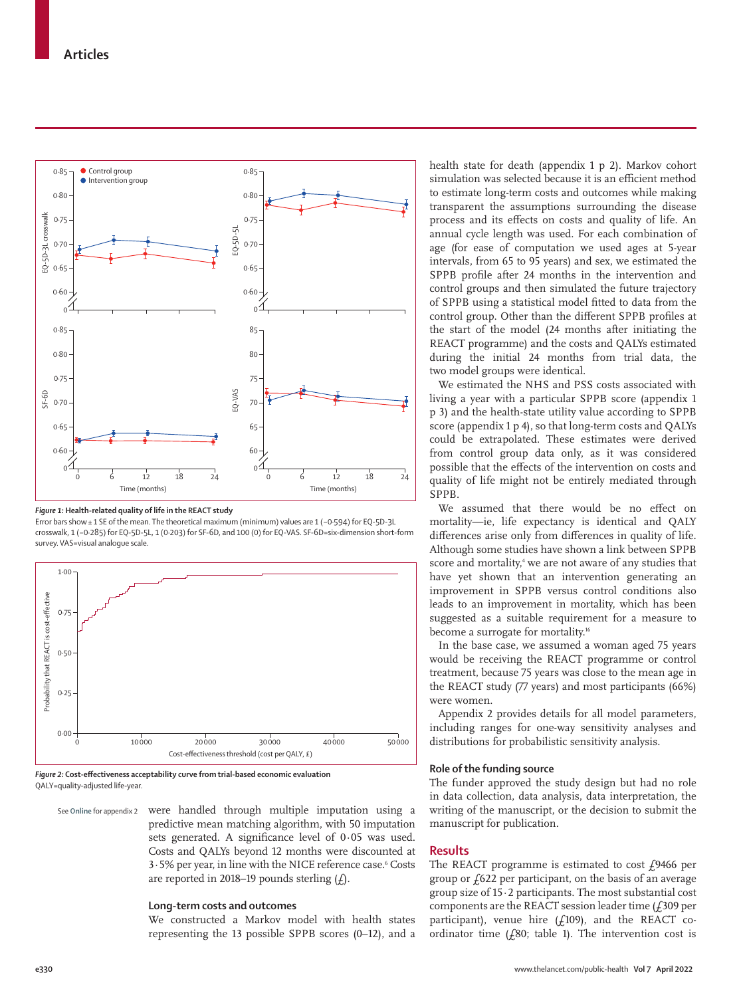

#### *Figure 1:* **Health-related quality of life in the REACT study**

Error bars show± 1 SE of the mean. The theoretical maximum (minimum) values are 1 (−0·594) for EQ-5D-3L crosswalk, 1 (−0·285) for EQ-5D-5L, 1 (0·203) for SF-6D, and 100 (0) for EQ-VAS. SF-6D=six-dimension short-form survey. VAS=visual analogue scale.



*Figure 2:* **Cost-effectiveness acceptability curve from trial-based economic evaluation** QALY=quality-adjusted life-year.

were handled through multiple imputation using a predictive mean matching algorithm, with 50 imputation sets generated. A significance level of 0·05 was used. Costs and QALYs beyond 12 months were discounted at 3.5% per year, in line with the NICE reference case.<sup>6</sup> Costs are reported in 2018–19 pounds sterling  $(f)$ . See **Online** for appendix 2

### **Long-term costs and outcomes**

We constructed a Markov model with health states representing the 13 possible SPPB scores (0–12), and a health state for death (appendix 1 p 2). Markov cohort simulation was selected because it is an efficient method to estimate long-term costs and outcomes while making transparent the assumptions surrounding the disease process and its effects on costs and quality of life. An annual cycle length was used. For each combination of age (for ease of computation we used ages at 5-year intervals, from 65 to 95 years) and sex, we estimated the SPPB profile after 24 months in the intervention and control groups and then simulated the future trajectory of SPPB using a statistical model fitted to data from the control group. Other than the different SPPB profiles at the start of the model (24 months after initiating the REACT programme) and the costs and QALYs estimated during the initial 24 months from trial data, the two model groups were identical.

We estimated the NHS and PSS costs associated with living a year with a particular SPPB score (appendix 1 p 3) and the health-state utility value according to SPPB score (appendix 1 p 4), so that long-term costs and QALYs could be extrapolated. These estimates were derived from control group data only, as it was considered possible that the effects of the intervention on costs and quality of life might not be entirely mediated through SPPB.

We assumed that there would be no effect on mortality—ie, life expectancy is identical and QALY differences arise only from differences in quality of life. Although some studies have shown a link between SPPB score and mortality,<sup>4</sup> we are not aware of any studies that have yet shown that an intervention generating an improvement in SPPB versus control conditions also leads to an improvement in mortality, which has been suggested as a suitable requirement for a measure to become a surrogate for mortality.<sup>16</sup>

In the base case, we assumed a woman aged 75 years would be receiving the REACT programme or control treatment, because 75 years was close to the mean age in the REACT study (77 years) and most participants (66%) were women.

Appendix 2 provides details for all model parameters, including ranges for one-way sensitivity analyses and distributions for probabilistic sensitivity analysis.

# **Role of the funding source**

The funder approved the study design but had no role in data collection, data analysis, data interpretation, the writing of the manuscript, or the decision to submit the manuscript for publication.

# **Results**

The REACT programme is estimated to cost  $£9466$  per group or  $f<sub>0</sub>622$  per participant, on the basis of an average group size of  $15 \cdot 2$  participants. The most substantial cost components are the REACT session leader time  $(f309)$  per participant), venue hire  $(f109)$ , and the REACT coordinator time  $(f80;$  table 1). The intervention cost is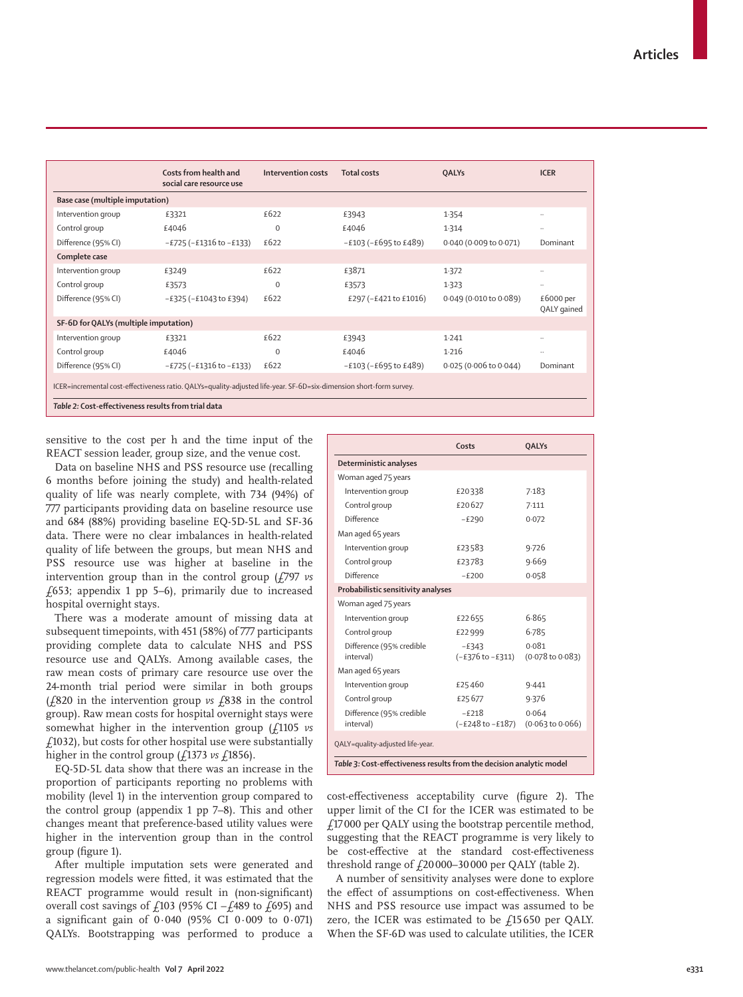|                                                     | Costs from health and<br>social care resource use                                                                   | Intervention costs | <b>Total costs</b>      | <b>QALYs</b>           | <b>ICER</b>              |
|-----------------------------------------------------|---------------------------------------------------------------------------------------------------------------------|--------------------|-------------------------|------------------------|--------------------------|
| Base case (multiple imputation)                     |                                                                                                                     |                    |                         |                        |                          |
| Intervention group                                  | £3321                                                                                                               | £622               | £3943                   | 1.354                  | $\ddotsc$                |
| Control group                                       | £4046                                                                                                               | $\mathbf 0$        | £4046                   | 1.314                  | $\ddots$                 |
| Difference (95% CI)                                 | $-E725(-E1316$ to $-E133)$                                                                                          | £622               | $-E103 (-E695 to E489)$ | 0.040 (0.009 to 0.071) | Dominant                 |
| Complete case                                       |                                                                                                                     |                    |                         |                        |                          |
| Intervention group                                  | £3249                                                                                                               | £622               | £3871                   | 1.372                  | $\ddots$                 |
| Control group                                       | £3573                                                                                                               | $\Omega$           | £3573                   | 1.323                  | $\cdot \cdot$            |
| Difference (95% CI)                                 | $-E325(-E1043$ to £394)                                                                                             | £622               | £297 (-£421 to £1016)   | 0.049 (0.010 to 0.089) | £6000 per<br>QALY gained |
| SF-6D for QALYs (multiple imputation)               |                                                                                                                     |                    |                         |                        |                          |
| Intervention group                                  | £3321                                                                                                               | £622               | £3943                   | 1.241                  | $\ddots$                 |
| Control group                                       | £4046                                                                                                               | $\mathbf 0$        | £4046                   | 1.216                  | $\ddotsc$                |
| Difference (95% CI)                                 | $-E725 (-E1316 to -E133)$                                                                                           | £622               | $-£103 (-£695 to £489)$ | 0.025 (0.006 to 0.044) | Dominant                 |
| Table 2: Cost-effectiveness results from trial data | ICER=incremental cost-effectiveness ratio. QALYs=quality-adjusted life-year. SF-6D=six-dimension short-form survey. |                    |                         |                        |                          |

sensitive to the cost per h and the time input of the REACT session leader, group size, and the venue cost.

Data on baseline NHS and PSS resource use (recalling 6 months before joining the study) and health-related quality of life was nearly complete, with 734 (94%) of 777 participants providing data on baseline resource use and 684 (88%) providing baseline EQ-5D-5L and SF-36 data. There were no clear imbalances in health-related quality of life between the groups, but mean NHS and PSS resource use was higher at baseline in the intervention group than in the control group (£797 *vs*  $£653;$  appendix 1 pp 5–6), primarily due to increased hospital overnight stays.

There was a moderate amount of missing data at subsequent timepoints, with 451 (58%) of 777 participants providing complete data to calculate NHS and PSS resource use and QALYs. Among available cases, the raw mean costs of primary care resource use over the 24-month trial period were similar in both groups (£820 in the intervention group *vs* £838 in the control group). Raw mean costs for hospital overnight stays were somewhat higher in the intervention group ( $\sqrt{1105}$  *vs* £1032), but costs for other hospital use were substantially higher in the control group  $(f1373 \text{ vs } f1856)$ .

EQ-5D-5L data show that there was an increase in the proportion of participants reporting no problems with mobility (level 1) in the intervention group compared to the control group (appendix 1 pp 7–8). This and other changes meant that preference-based utility values were higher in the intervention group than in the control group (figure 1).

After multiple imputation sets were generated and regression models were fitted, it was estimated that the REACT programme would result in (non-significant) overall cost savings of £103 (95% CI −£489 to £695) and a significant gain of 0·040 (95% CI 0·009 to 0·071) QALYs. Bootstrapping was performed to produce a

|                                       | Costs                       | <b>QALYs</b>                         |  |
|---------------------------------------|-----------------------------|--------------------------------------|--|
| Deterministic analyses                |                             |                                      |  |
| Woman aged 75 years                   |                             |                                      |  |
| Intervention group                    | £20338                      | 7.183                                |  |
| Control group                         | £20627                      | 7.111                                |  |
| Difference                            | $-E290$                     | 0.072                                |  |
| Man aged 65 years                     |                             |                                      |  |
| Intervention group                    | £23583                      | 9.726                                |  |
| Control group                         | £23783                      | 9.669                                |  |
| Difference                            | $-E200$                     | 0.058                                |  |
| Probabilistic sensitivity analyses    |                             |                                      |  |
| Woman aged 75 years                   |                             |                                      |  |
| Intervention group                    | £22655                      | 6.865                                |  |
| Control group                         | £22999                      | 6.785                                |  |
| Difference (95% credible<br>interval) | $-E343$<br>(-£376 to -£311) | 0.081<br>$(0.078 \text{ to } 0.083)$ |  |
| Man aged 65 years                     |                             |                                      |  |
| Intervention group                    | £25460                      | 9.441                                |  |
| Control group                         | £25677                      | 9.376                                |  |
| Difference (95% credible<br>interval) | $-5218$<br>(-£248 to -£187) | 0.064<br>$(0.063 \text{ to } 0.066)$ |  |
| OALY=quality-adjusted life-year.      |                             |                                      |  |

cost-effectiveness acceptability curve (figure 2). The upper limit of the CI for the ICER was estimated to be £17 000 per QALY using the bootstrap percentile method, suggesting that the REACT programme is very likely to be cost-effective at the standard cost-effectiveness threshold range of  $\text{\emph{f}}20\,000\text{\emph{--}}30\,000$  per QALY (table 2).

A number of sensitivity analyses were done to explore the effect of assumptions on cost-effectiveness. When NHS and PSS resource use impact was assumed to be zero, the ICER was estimated to be  $f15650$  per QALY. When the SF-6D was used to calculate utilities, the ICER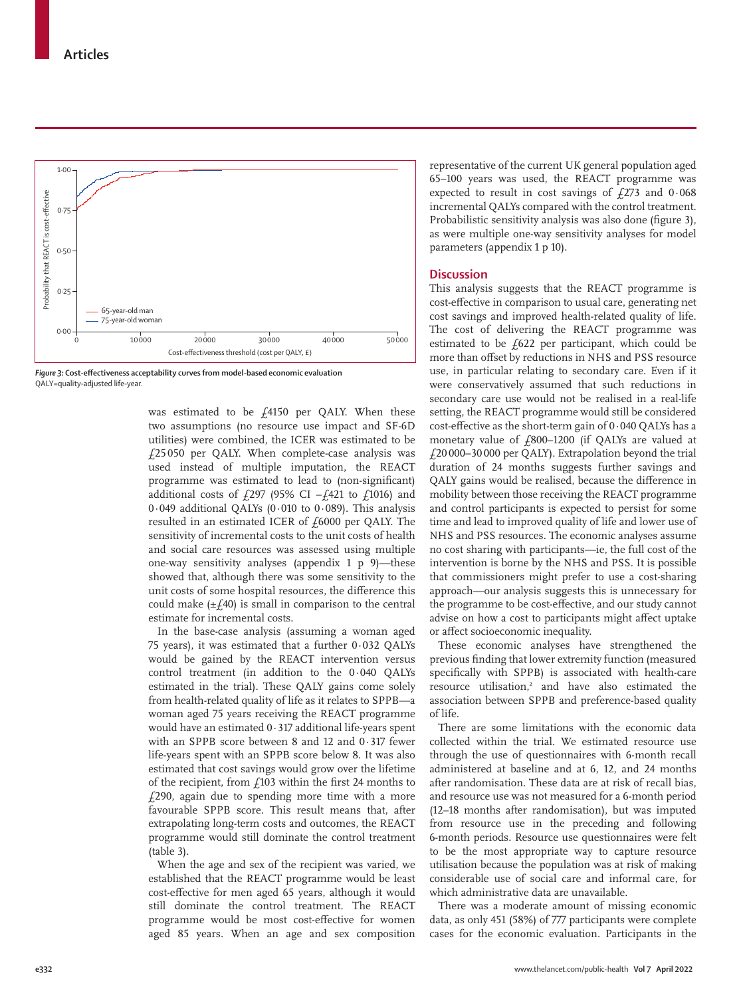

*Figure 3:* **Cost-effectiveness acceptability curves from model-based economic evaluation** QALY=quality-adjusted life-year.

was estimated to be  $f$ <sub>4150</sub> per QALY. When these two assumptions (no resource use impact and SF-6D utilities) were combined, the ICER was estimated to be £25050 per QALY. When complete-case analysis was used instead of multiple imputation, the REACT programme was estimated to lead to (non-significant) additional costs of £297 (95% CI  $-f421$  to £1016) and 0·049 additional QALYs (0·010 to 0·089). This analysis resulted in an estimated ICER of  $f$  6000 per QALY. The sensitivity of incremental costs to the unit costs of health and social care resources was assessed using multiple one-way sensitivity analyses (appendix 1 p 9)—these showed that, although there was some sensitivity to the unit costs of some hospital resources, the difference this could make  $(\pm f.40)$  is small in comparison to the central estimate for incremental costs.

In the base-case analysis (assuming a woman aged 75 years), it was estimated that a further 0·032 QALYs would be gained by the REACT intervention versus control treatment (in addition to the 0·040 QALYs estimated in the trial). These QALY gains come solely from health-related quality of life as it relates to SPPB—a woman aged 75 years receiving the REACT programme would have an estimated 0·317 additional life-years spent with an SPPB score between 8 and 12 and 0·317 fewer life-years spent with an SPPB score below 8. It was also estimated that cost savings would grow over the lifetime of the recipient, from  $f<sub>103</sub>$  within the first 24 months to  $f<sub>1</sub>290$ , again due to spending more time with a more favourable SPPB score. This result means that, after extrapolating long-term costs and outcomes, the REACT programme would still dominate the control treatment (table 3).

When the age and sex of the recipient was varied, we established that the REACT programme would be least cost-effective for men aged 65 years, although it would still dominate the control treatment. The REACT programme would be most cost-effective for women aged 85 years. When an age and sex composition

representative of the current UK general population aged 65–100 years was used, the REACT programme was expected to result in cost savings of  $f273$  and  $0.068$ incremental QALYs compared with the control treatment. Probabilistic sensitivity analysis was also done (figure 3), as were multiple one-way sensitivity analyses for model parameters (appendix 1 p 10).

# **Discussion**

This analysis suggests that the REACT programme is cost-effective in comparison to usual care, generating net cost savings and improved health-related quality of life. The cost of delivering the REACT programme was estimated to be  $f622$  per participant, which could be more than offset by reductions in NHS and PSS resource use, in particular relating to secondary care. Even if it were conservatively assumed that such reductions in secondary care use would not be realised in a real-life setting, the REACT programme would still be considered cost-effective as the short-term gain of 0·040 QALYs has a monetary value of £800–1200 (if QALYs are valued at £20 000–30000 per QALY). Extrapolation beyond the trial duration of 24 months suggests further savings and QALY gains would be realised, because the difference in mobility between those receiving the REACT programme and control participants is expected to persist for some time and lead to improved quality of life and lower use of NHS and PSS resources. The economic analyses assume no cost sharing with participants—ie, the full cost of the intervention is borne by the NHS and PSS. It is possible that commissioners might prefer to use a cost-sharing approach—our analysis suggests this is unnecessary for the programme to be cost-effective, and our study cannot advise on how a cost to participants might affect uptake or affect socioeconomic inequality.

These economic analyses have strengthened the previous finding that lower extremity function (measured specifically with SPPB) is associated with health-care  $resource$  utilisation,<sup>2</sup> and have also estimated the association between SPPB and preference-based quality of life.

There are some limitations with the economic data collected within the trial. We estimated resource use through the use of questionnaires with 6-month recall administered at baseline and at 6, 12, and 24 months after randomisation. These data are at risk of recall bias, and resource use was not measured for a 6-month period (12–18 months after randomisation), but was imputed from resource use in the preceding and following 6-month periods. Resource use questionnaires were felt to be the most appropriate way to capture resource utilisation because the population was at risk of making considerable use of social care and informal care, for which administrative data are unavailable.

There was a moderate amount of missing economic data, as only 451 (58%) of 777 participants were complete cases for the economic evaluation. Participants in the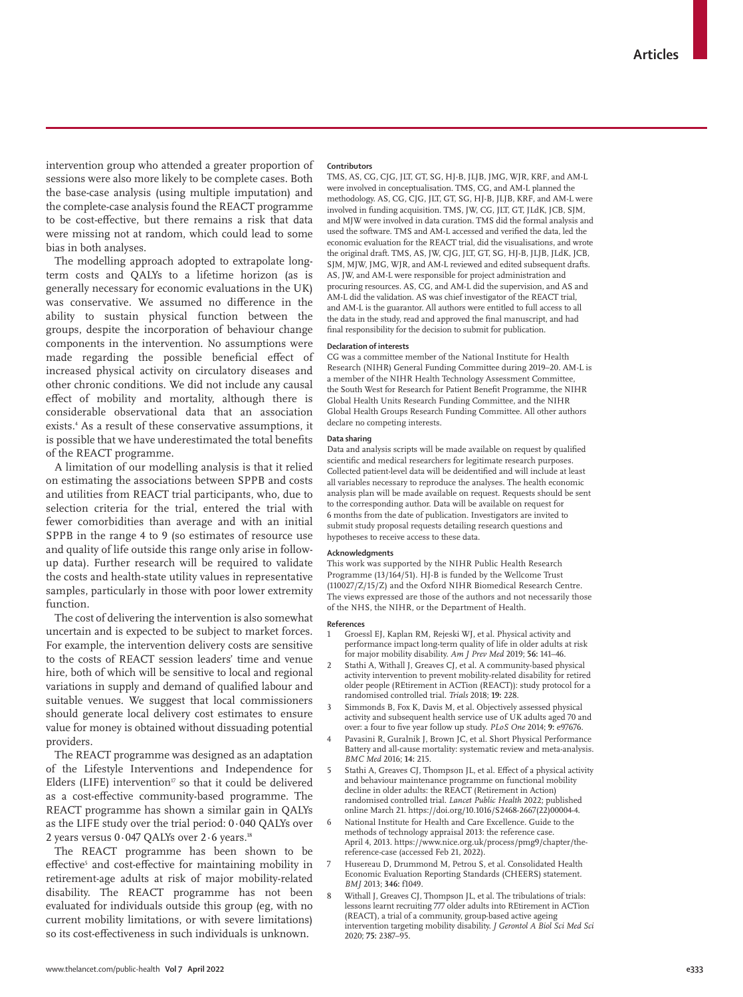intervention group who attended a greater proportion of sessions were also more likely to be complete cases. Both the base-case analysis (using multiple imputation) and the complete-case analysis found the REACT programme to be cost-effective, but there remains a risk that data were missing not at random, which could lead to some bias in both analyses.

The modelling approach adopted to extrapolate longterm costs and QALYs to a lifetime horizon (as is generally necessary for economic evaluations in the UK) was conservative. We assumed no difference in the ability to sustain physical function between the groups, despite the incorporation of behaviour change components in the intervention. No assumptions were made regarding the possible beneficial effect of increased physical activity on circulatory diseases and other chronic conditions. We did not include any causal effect of mobility and mortality, although there is considerable observational data that an association exists.4 As a result of these conservative assumptions, it is possible that we have underestimated the total benefits of the REACT programme.

A limitation of our modelling analysis is that it relied on estimating the associations between SPPB and costs and utilities from REACT trial participants, who, due to selection criteria for the trial, entered the trial with fewer comorbidities than average and with an initial SPPB in the range 4 to 9 (so estimates of resource use and quality of life outside this range only arise in followup data). Further research will be required to validate the costs and health-state utility values in representative samples, particularly in those with poor lower extremity function.

The cost of delivering the intervention is also somewhat uncertain and is expected to be subject to market forces. For example, the intervention delivery costs are sensitive to the costs of REACT session leaders' time and venue hire, both of which will be sensitive to local and regional variations in supply and demand of qualified labour and suitable venues. We suggest that local commissioners should generate local delivery cost estimates to ensure value for money is obtained without dissuading potential providers.

The REACT programme was designed as an adaptation of the Lifestyle Interventions and Independence for Elders (LIFE) intervention<sup>17</sup> so that it could be delivered as a cost-effective community-based programme. The REACT programme has shown a similar gain in QALYs as the LIFE study over the trial period: 0·040 QALYs over 2 years versus  $0.047$  QALYs over  $2.6$  years.<sup>18</sup>

The REACT programme has been shown to be effective<sup>5</sup> and cost-effective for maintaining mobility in retirement-age adults at risk of major mobility-related disability. The REACT programme has not been evaluated for individuals outside this group (eg, with no current mobility limitations, or with severe limitations) so its cost-effectiveness in such individuals is unknown.

#### **Contributors**

TMS, AS, CG, CJG, JLT, GT, SG, HJ-B, JLJB, JMG, WJR, KRF, and AM-L were involved in conceptualisation. TMS, CG, and AM-L planned the methodology. AS, CG, CJG, JLT, GT, SG, HJ-B, JLJB, KRF, and AM-L were involved in funding acquisition. TMS, JW, CG, JLT, GT, JLdK, JCB, SJM, and MJW were involved in data curation. TMS did the formal analysis and used the software. TMS and AM-L accessed and verified the data, led the economic evaluation for the REACT trial, did the visualisations, and wrote the original draft. TMS, AS, JW, CJG, JLT, GT, SG, HJ-B, JLJB, JLdK, JCB, SJM, MJW, JMG, WJR, and AM-L reviewed and edited subsequent drafts. AS, JW, and AM-L were responsible for project administration and procuring resources. AS, CG, and AM-L did the supervision, and AS and AM-L did the validation. AS was chief investigator of the REACT trial, and AM-L is the guarantor. All authors were entitled to full access to all the data in the study, read and approved the final manuscript, and had final responsibility for the decision to submit for publication.

### **Declaration of interests**

CG was a committee member of the National Institute for Health Research (NIHR) General Funding Committee during 2019–20. AM-L is a member of the NIHR Health Technology Assessment Committee, the South West for Research for Patient Benefit Programme, the NIHR Global Health Units Research Funding Committee, and the NIHR Global Health Groups Research Funding Committee. All other authors declare no competing interests.

#### **Data sharing**

Data and analysis scripts will be made available on request by qualified scientific and medical researchers for legitimate research purposes. Collected patient-level data will be deidentified and will include at least all variables necessary to reproduce the analyses. The health economic analysis plan will be made available on request. Requests should be sent to the corresponding author. Data will be available on request for 6 months from the date of publication. Investigators are invited to submit study proposal requests detailing research questions and hypotheses to receive access to these data.

#### **Acknowledgments**

This work was supported by the NIHR Public Health Research Programme (13/164/51). HJ-B is funded by the Wellcome Trust (110027/Z/15/Z) and the Oxford NIHR Biomedical Research Centre. The views expressed are those of the authors and not necessarily those of the NHS, the NIHR, or the Department of Health.

#### **References**

- 1 Groessl EJ, Kaplan RM, Rejeski WJ, et al. Physical activity and performance impact long-term quality of life in older adults at risk for major mobility disability. *Am J Prev Med* 2019; **56:** 141–46.
- Stathi A, Withall J, Greaves CL et al. A community-based physical activity intervention to prevent mobility-related disability for retired older people (REtirement in ACTion (REACT)): study protocol for a randomised controlled trial. *Trials* 2018; **19:** 228.
- 3 Simmonds B, Fox K, Davis M, et al. Objectively assessed physical activity and subsequent health service use of UK adults aged 70 and over: a four to five year follow up study. *PLoS One* 2014; **9:** e97676.
- 4 Pavasini R, Guralnik J, Brown JC, et al. Short Physical Performance Battery and all-cause mortality: systematic review and meta-analysis. *BMC Med* 2016; **14:** 215.
- 5 Stathi A, Greaves CJ, Thompson JL, et al. Effect of a physical activity and behaviour maintenance programme on functional mobility decline in older adults: the REACT (Retirement in Action) randomised controlled trial. *Lancet Public Health* 2022; published online March 21. https://doi.org/10.1016/S2468-2667(22)00004-4.
- National Institute for Health and Care Excellence. Guide to the methods of technology appraisal 2013: the reference case. April 4, 2013. https://www.nice.org.uk/process/pmg9/chapter/thereference-case (accessed Feb 21, 2022).
- Husereau D, Drummond M, Petrou S, et al. Consolidated Health Economic Evaluation Reporting Standards (CHEERS) statement. *BMJ* 2013; **346:** f1049.
- 8 Withall J, Greaves CJ, Thompson JL, et al. The tribulations of trials: lessons learnt recruiting 777 older adults into REtirement in ACTion (REACT), a trial of a community, group-based active ageing intervention targeting mobility disability. *J Gerontol A Biol Sci Med Sci* 2020; **75:** 2387–95.